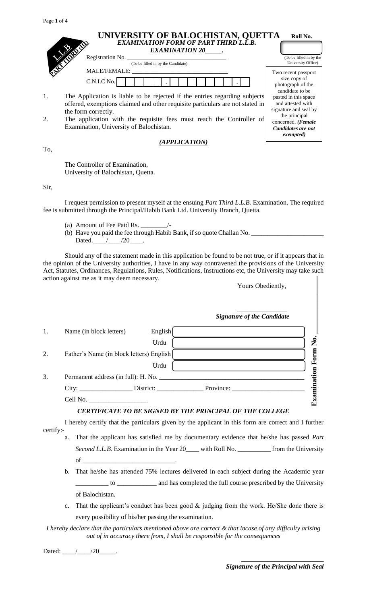|     | UNIVERSITY OF BALOCHISTAN, QUETTA<br>EXAMINATION FORM OF PART THIRD L.L.B.<br><b>EXAMINATION 20</b> .                                                                              | Roll No.                                                                    |
|-----|------------------------------------------------------------------------------------------------------------------------------------------------------------------------------------|-----------------------------------------------------------------------------|
|     | Registration No.<br>(To be filled in by the Candidate)                                                                                                                             | (To be filled in by the<br>University Office)                               |
|     | MALE/FEMALE:<br>C.N.I.C No.                                                                                                                                                        | Two recent passport<br>size copy of<br>photograph of the<br>candidate to be |
| 1.  | The Application is liable to be rejected if the entries regarding subjects<br>offered, exemptions claimed and other requisite particulars are not stated in<br>the form correctly. | pasted in this space<br>and attested with<br>signature and seal by          |
| 2.  | The application with the requisite fees must reach the Controller of<br>Examination, University of Balochistan.                                                                    | the principal<br>concerned. (Female<br>Candidates are not<br>exempted)      |
| To, | (APPLICATION)                                                                                                                                                                      |                                                                             |

The Controller of Examination, University of Balochistan, Quetta.

Sir,

I request permission to present myself at the ensuing *Part Third L.L.B.* Examination. The required fee is submitted through the Principal/Habib Bank Ltd. University Branch, Quetta.

- (a) Amount of Fee Paid Rs. \_\_\_\_\_\_\_\_/-
- (b) Have you paid the fee through Habib Bank, if so quote Challan No. \_\_\_\_\_\_\_\_\_\_\_\_\_\_\_\_\_\_\_\_\_\_ Dated.\_\_\_\_\_/\_\_\_\_\_/20\_\_\_\_\_.

Should any of the statement made in this application be found to be not true, or if it appears that in the opinion of the University authorities, I have in any way contravened the provisions of the University Act, Statutes, Ordinances, Regulations, Rules, Notifications, Instructions etc, the University may take such action against me as it may deem necessary. Yours Obediently,

| action against me as it may deem necessary. |                                          |         | Yours Obediently,                                               |  |  |
|---------------------------------------------|------------------------------------------|---------|-----------------------------------------------------------------|--|--|
|                                             |                                          |         | <b>Signature of the Candidate</b>                               |  |  |
| 1.                                          | Name (in block letters)                  | English |                                                                 |  |  |
|                                             |                                          | Urdu    | $\tilde{\mathsf{z}}$                                            |  |  |
| 2.                                          | Father's Name (in block letters) English |         | Form                                                            |  |  |
|                                             |                                          | Urdu    |                                                                 |  |  |
| 3.                                          | Permanent address (in full): H. No.      |         |                                                                 |  |  |
|                                             |                                          |         | Examination                                                     |  |  |
|                                             | Cell No.                                 |         |                                                                 |  |  |
|                                             |                                          |         | <b>CERTIFICATE TO BE SIGNED BY THE PRINCIPAL OF THE COLLEGE</b> |  |  |

I hereby certify that the particulars given by the applicant in this form are correct and I further certify:-

- a. That the applicant has satisfied me by documentary evidence that he/she has passed *Part Second L.L.B*. Examination in the Year 20\_\_\_\_ with Roll No. \_\_\_\_\_\_\_\_\_\_ from the University  $of$   $\overline{\phantom{a}}$ 
	- b. That he/she has attended 75% lectures delivered in each subject during the Academic year \_\_\_\_\_\_\_\_\_\_ to \_\_\_\_\_\_\_\_\_\_\_\_ and has completed the full course prescribed by the University of Balochistan.
	- c. That the applicant's conduct has been good & judging from the work. He/She done there is every possibility of his/her passing the examination.

*I hereby declare that the particulars mentioned above are correct & that incase of any difficulty arising out of in accuracy there from, I shall be responsible for the consequences*

\_\_\_\_\_\_\_\_\_\_\_\_\_\_\_\_\_\_\_\_\_\_\_\_\_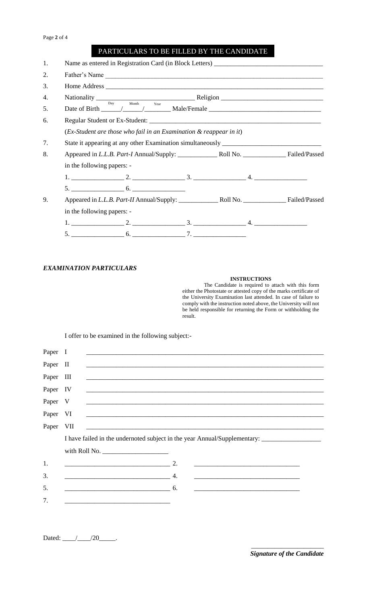## PARTICULARS TO BE FILLED BY THE CANDIDATE

| 1. |                            |                                                                           |  | Name as entered in Registration Card (in Block Letters) _________________________         |  |
|----|----------------------------|---------------------------------------------------------------------------|--|-------------------------------------------------------------------------------------------|--|
| 2. |                            |                                                                           |  | Father's Name                                                                             |  |
| 3. |                            |                                                                           |  |                                                                                           |  |
| 4. |                            |                                                                           |  | Nationality $\frac{Day}{Day}$ Month Year Religion $\frac{1}{2}\left(1-\frac{1}{2}\right)$ |  |
| 5. |                            | $\begin{tabular}{ll} Month & \quad \quad \quad \text{Year} \end{tabular}$ |  |                                                                                           |  |
| 6. |                            |                                                                           |  |                                                                                           |  |
|    |                            | $(Ex-Student$ are those who fail in an Examination & reappear in it)      |  |                                                                                           |  |
| 7. |                            |                                                                           |  |                                                                                           |  |
| 8. |                            |                                                                           |  |                                                                                           |  |
|    | in the following papers: - |                                                                           |  |                                                                                           |  |
|    |                            |                                                                           |  |                                                                                           |  |
|    |                            |                                                                           |  |                                                                                           |  |
| 9. |                            |                                                                           |  |                                                                                           |  |
|    |                            | in the following papers: -                                                |  |                                                                                           |  |
|    |                            |                                                                           |  |                                                                                           |  |
|    |                            |                                                                           |  |                                                                                           |  |

## *EXAMINATION PARTICULARS*

## **INSTRUCTIONS**

The Candidate is required to attach with this form either the Photostate or attested copy of the marks certificate of the University Examination last attended. In case of failure to comply with the instruction noted above, the University will not be held responsible for returning the Form or withholding the result.

I offer to be examined in the following subject:-

| Paper I   |                                                                                                                                                      |
|-----------|------------------------------------------------------------------------------------------------------------------------------------------------------|
| Paper II  | <u> 1989 - Johann Barn, mars an t-Amerikaansk politiker (* 1908)</u>                                                                                 |
| Paper III | <u> 1999 - Jan James James, martin de la componentat de la componentat de la componentat de la componentat de la</u>                                 |
| Paper IV  |                                                                                                                                                      |
| Paper V   |                                                                                                                                                      |
| Paper VI  |                                                                                                                                                      |
| Paper VII |                                                                                                                                                      |
|           |                                                                                                                                                      |
|           |                                                                                                                                                      |
|           |                                                                                                                                                      |
| 1.        |                                                                                                                                                      |
| 3.        |                                                                                                                                                      |
| 5.        | $\overline{\phantom{a}}$ 6.<br><u> 1989 - Johann Harry Harry Harry Harry Harry Harry Harry Harry Harry Harry Harry Harry Harry Harry Harry Harry</u> |
| 7.        |                                                                                                                                                      |

Dated: \_\_\_\_\_\_/\_\_\_\_\_\_\_\_\_/20\_\_\_\_\_\_\_.

\_\_\_\_\_\_\_\_\_\_\_\_\_\_\_\_\_\_\_\_\_\_ *Signature of the Candidate*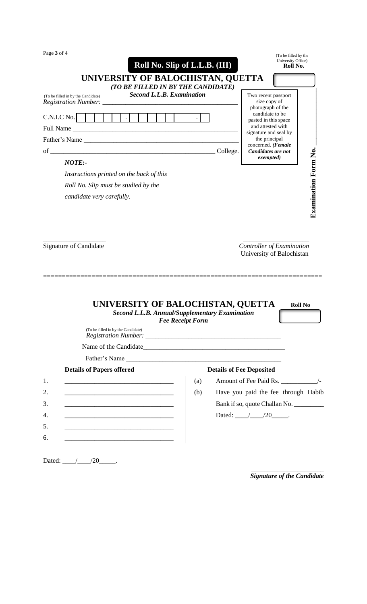| Page 3 of 4 |  |  |
|-------------|--|--|
|-------------|--|--|

| $1$ age $3$ or $4$                                                                                                                 |                                  |          | (To be filled by the<br>University Office)               |                             |
|------------------------------------------------------------------------------------------------------------------------------------|----------------------------------|----------|----------------------------------------------------------|-----------------------------|
|                                                                                                                                    | Roll No. Slip of L.L.B. (III)    |          | Roll No.                                                 |                             |
| UNIVERSITY OF BALOCHISTAN, QUETTA                                                                                                  |                                  |          |                                                          |                             |
| (TO BE FILLED IN BY THE CANDIDATE)                                                                                                 |                                  |          |                                                          |                             |
| (To be filled in by the Candidate)                                                                                                 | <b>Second L.L.B. Examination</b> |          | Two recent passport<br>size copy of<br>photograph of the |                             |
| C.N.I.C No.<br>$\sim$ $\sim$                                                                                                       |                                  |          | candidate to be<br>pasted in this space                  |                             |
| Full Name<br><u> 1980 - Johann Barn, mars ann an t-Amhain Aonaich an t-Aonaich an t-Aonaich an t-Aonaich an t-Aonaich an t-Aon</u> |                                  |          | and attested with<br>signature and seal by               |                             |
|                                                                                                                                    |                                  |          | the principal<br>concerned. (Female                      |                             |
|                                                                                                                                    |                                  | College. | Candidates are not                                       |                             |
| NOTE:                                                                                                                              |                                  |          | exempted)                                                | <b>Examination Form No.</b> |
| Instructions printed on the back of this                                                                                           |                                  |          |                                                          |                             |
| Roll No. Slip must be studied by the                                                                                               |                                  |          |                                                          |                             |
| candidate very carefully.                                                                                                          |                                  |          |                                                          |                             |
|                                                                                                                                    |                                  |          |                                                          |                             |
|                                                                                                                                    |                                  |          |                                                          |                             |
| UNIVERSITY OF BALOCHISTAN, QUETTA<br><b>Second L.L.B. Annual/Supplementary Examination</b>                                         |                                  |          | University of Balochistan<br><b>Roll No</b>              |                             |
| (To be filled in by the Candidate)                                                                                                 | <b>Fee Receipt Form</b>          |          |                                                          |                             |
|                                                                                                                                    |                                  |          |                                                          |                             |
|                                                                                                                                    |                                  |          |                                                          |                             |
| Father's Name                                                                                                                      |                                  |          |                                                          |                             |
| <b>Details of Papers offered</b>                                                                                                   |                                  |          | <b>Details of Fee Deposited</b>                          |                             |
| 1.<br><u> 1989 - Johann John Stone, mars eta biztanleria (</u>                                                                     | (a)                              |          |                                                          |                             |
| 2.<br><u> 2000 - Jan James James Barbara, menyebaran bagian perangan perangan perangan perangan perangan perangan perang</u>       | (b)                              |          | Have you paid the fee through Habib                      |                             |
| 3.<br><u> 1989 - Johann Barbara, martxa alemaniar argumento de la contrada de la contrada de la contrada de la contrad</u>         |                                  |          | Bank if so, quote Challan No.                            |                             |
| 4.<br><u> 1989 - Johann Stoff, Amerikaansk politiker (* 1908)</u>                                                                  |                                  |          | Dated: $\angle 20$ $\angle$                              |                             |
| 5.                                                                                                                                 |                                  |          |                                                          |                             |
|                                                                                                                                    |                                  |          |                                                          |                             |
| 6.                                                                                                                                 |                                  |          |                                                          |                             |
|                                                                                                                                    |                                  |          |                                                          |                             |

Dated: \_\_\_\_/\_\_\_\_/20\_\_\_\_\_.

\_\_\_\_\_\_\_\_\_\_\_\_\_\_\_\_\_\_\_\_\_\_ *Signature of the Candidate*